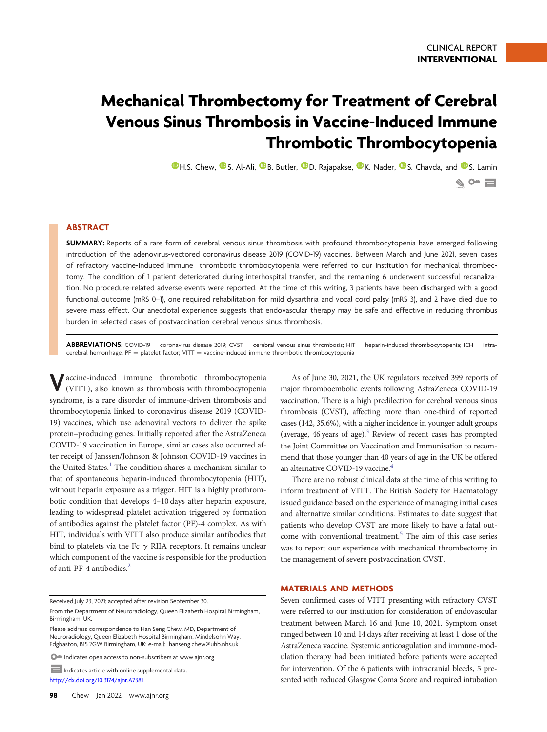# Mechanical Thrombectomy for Treatment of Cerebral Venous Sinus Thrombosis in Vaccine-Induced Immune Thrombotic Thrombocytopenia

**O**[H.S. Chew,](https://orcid.org/0000-0002-1802-3935) O[S. Al-Ali,](https://orcid.org/0000-0001-6325-193X) O[B. Butler,](https://orcid.org/0000-0001-7831-0111) O[D. Rajapakse,](https://orcid.org/0000-0002-7682-0342) O[K. Nader,](https://orcid.org/0000-0002-8171-8369) O[S. Chavda,](https://orcid.org/0000-0002-7488-0675) and O[S. Lamin](https://orcid.org/0000-0002-2208-7501)  $\bullet$  of  $\blacksquare$ 

## ABSTRACT

SUMMARY: Reports of a rare form of cerebral venous sinus thrombosis with profound thrombocytopenia have emerged following introduction of the adenovirus-vectored coronavirus disease 2019 (COVID-19) vaccines. Between March and June 2021, seven cases of refractory vaccine-induced immune thrombotic thrombocytopenia were referred to our institution for mechanical thrombectomy. The condition of 1 patient deteriorated during interhospital transfer, and the remaining 6 underwent successful recanalization. No procedure-related adverse events were reported. At the time of this writing, 3 patients have been discharged with a good functional outcome (mRS 0–1), one required rehabilitation for mild dysarthria and vocal cord palsy (mRS 3), and 2 have died due to severe mass effect. Our anecdotal experience suggests that endovascular therapy may be safe and effective in reducing thrombus burden in selected cases of postvaccination cerebral venous sinus thrombosis.

**ABBREVIATIONS:** COVID-19 = coronavirus disease 2019; CVST = cerebral venous sinus thrombosis; HIT = heparin-induced thrombocytopenia; ICH = intracerebral hemorrhage;  $PF =$  platelet factor; VITT  $=$  vaccine-induced immune thrombotic thrombocytopenia

Vaccine-induced immune thrombotic thrombocytopenia (VITT), also known as thrombosis with thrombocytopenia syndrome, is a rare disorder of immune-driven thrombosis and thrombocytopenia linked to coronavirus disease 2019 (COVID-19) vaccines, which use adenoviral vectors to deliver the spike protein–producing genes. Initially reported after the AstraZeneca COVID-19 vaccination in Europe, similar cases also occurred after receipt of Janssen/Johnson & Johnson COVID-19 vaccines in the United States.<sup>1</sup> The condition shares a mechanism similar to that of spontaneous heparin-induced thrombocytopenia (HIT), without heparin exposure as a trigger. HIT is a highly prothrombotic condition that develops 4–10 days after heparin exposure, leading to widespread platelet activation triggered by formation of antibodies against the platelet factor (PF)-4 complex. As with HIT, individuals with VITT also produce similar antibodies that bind to platelets via the Fc  $\gamma$  RIIA receptors. It remains unclear which component of the vaccine is responsible for the production of anti-PF-4 antibodies.<sup>[2](#page-3-1)</sup>

Received July 23, 2021; accepted after revision September 30.

Please address correspondence to Han Seng Chew, MD, Department of Neuroradiology, Queen Elizabeth Hospital Birmingham, Mindelsohn Way, Edgbaston, B15 2GW Birmingham, UK; e-mail: [hanseng.chew@uhb.nhs.uk](mailto:hanseng.chew@uhb.nhs.uk)

 $\bullet$  Indicates open access to non-subscribers at www.ajnr.org

Indicates article with online supplemental data <http://dx.doi.org/10.3174/ajnr.A7381>

As of June 30, 2021, the UK regulators received 399 reports of major thromboembolic events following AstraZeneca COVID-19 vaccination. There is a high predilection for cerebral venous sinus thrombosis (CVST), affecting more than one-third of reported cases (142, 35.6%), with a higher incidence in younger adult groups (average,  $46$  years of age). $3$  Review of recent cases has prompted the Joint Committee on Vaccination and Immunisation to recommend that those younger than 40 years of age in the UK be offered an alternative COVID-19 vaccine.<sup>[4](#page-3-3)</sup>

There are no robust clinical data at the time of this writing to inform treatment of VITT. The British Society for Haematology issued guidance based on the experience of managing initial cases and alternative similar conditions. Estimates to date suggest that patients who develop CVST are more likely to have a fatal out-come with conventional treatment.<sup>[5](#page-3-4)</sup> The aim of this case series was to report our experience with mechanical thrombectomy in the management of severe postvaccination CVST.

#### MATERIALS AND METHODS

Seven confirmed cases of VITT presenting with refractory CVST were referred to our institution for consideration of endovascular treatment between March 16 and June 10, 2021. Symptom onset ranged between 10 and 14 days after receiving at least 1 dose of the AstraZeneca vaccine. Systemic anticoagulation and immune-modulation therapy had been initiated before patients were accepted for intervention. Of the 6 patients with intracranial bleeds, 5 presented with reduced Glasgow Coma Score and required intubation

From the Department of Neuroradiology, Queen Elizabeth Hospital Birmingham, Birmingham, UK.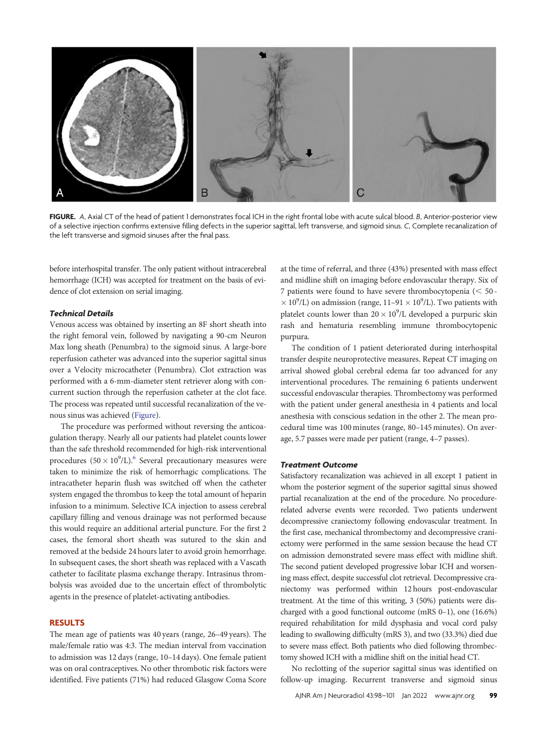

FIGURE. A, Axial CT of the head of patient 1 demonstrates focal ICH in the right frontal lobe with acute sulcal blood. B, Anterior-posterior view of a selective injection confirms extensive filling defects in the superior sagittal, left transverse, and sigmoid sinus. C, Complete recanalization of the left transverse and sigmoid sinuses after the final pass.

<span id="page-1-0"></span>before interhospital transfer. The only patient without intracerebral hemorrhage (ICH) was accepted for treatment on the basis of evidence of clot extension on serial imaging.

### Technical Details

Venous access was obtained by inserting an 8F short sheath into the right femoral vein, followed by navigating a 90-cm Neuron Max long sheath (Penumbra) to the sigmoid sinus. A large-bore reperfusion catheter was advanced into the superior sagittal sinus over a Velocity microcatheter (Penumbra). Clot extraction was performed with a 6-mm-diameter stent retriever along with concurrent suction through the reperfusion catheter at the clot face. The process was repeated until successful recanalization of the venous sinus was achieved ([Figure\)](#page-1-0).

The procedure was performed without reversing the anticoagulation therapy. Nearly all our patients had platelet counts lower than the safe threshold recommended for high-risk interventional procedures  $(50 \times 10^9$ /L).<sup>6</sup> Several precautionary measures were taken to minimize the risk of hemorrhagic complications. The intracatheter heparin flush was switched off when the catheter system engaged the thrombus to keep the total amount of heparin infusion to a minimum. Selective ICA injection to assess cerebral capillary filling and venous drainage was not performed because this would require an additional arterial puncture. For the first 2 cases, the femoral short sheath was sutured to the skin and removed at the bedside 24 hours later to avoid groin hemorrhage. In subsequent cases, the short sheath was replaced with a Vascath catheter to facilitate plasma exchange therapy. Intrasinus thrombolysis was avoided due to the uncertain effect of thrombolytic agents in the presence of platelet-activating antibodies.

### RESULTS

The mean age of patients was 40 years (range, 26–49 years). The male/female ratio was 4:3. The median interval from vaccination to admission was 12 days (range, 10–14 days). One female patient was on oral contraceptives. No other thrombotic risk factors were identified. Five patients (71%) had reduced Glasgow Coma Score

at the time of referral, and three (43%) presented with mass effect and midline shift on imaging before endovascular therapy. Six of 7 patients were found to have severe thrombocytopenia  $(< 50 - 1)$  $\times$  10<sup>9</sup>/L) on admission (range, 11–91  $\times$  10<sup>9</sup>/L). Two patients with platelet counts lower than  $20 \times 10^9$ /L developed a purpuric skin rash and hematuria resembling immune thrombocytopenic purpura.

The condition of 1 patient deteriorated during interhospital transfer despite neuroprotective measures. Repeat CT imaging on arrival showed global cerebral edema far too advanced for any interventional procedures. The remaining 6 patients underwent successful endovascular therapies. Thrombectomy was performed with the patient under general anesthesia in 4 patients and local anesthesia with conscious sedation in the other 2. The mean procedural time was 100 minutes (range, 80–145 minutes). On average, 5.7 passes were made per patient (range, 4–7 passes).

#### Treatment Outcome

Satisfactory recanalization was achieved in all except 1 patient in whom the posterior segment of the superior sagittal sinus showed partial recanalization at the end of the procedure. No procedurerelated adverse events were recorded. Two patients underwent decompressive craniectomy following endovascular treatment. In the first case, mechanical thrombectomy and decompressive craniectomy were performed in the same session because the head CT on admission demonstrated severe mass effect with midline shift. The second patient developed progressive lobar ICH and worsening mass effect, despite successful clot retrieval. Decompressive craniectomy was performed within 12 hours post-endovascular treatment. At the time of this writing, 3 (50%) patients were discharged with a good functional outcome (mRS 0–1), one (16.6%) required rehabilitation for mild dysphasia and vocal cord palsy leading to swallowing difficulty (mRS 3), and two (33.3%) died due to severe mass effect. Both patients who died following thrombectomy showed ICH with a midline shift on the initial head CT.

No reclotting of the superior sagittal sinus was identified on follow-up imaging. Recurrent transverse and sigmoid sinus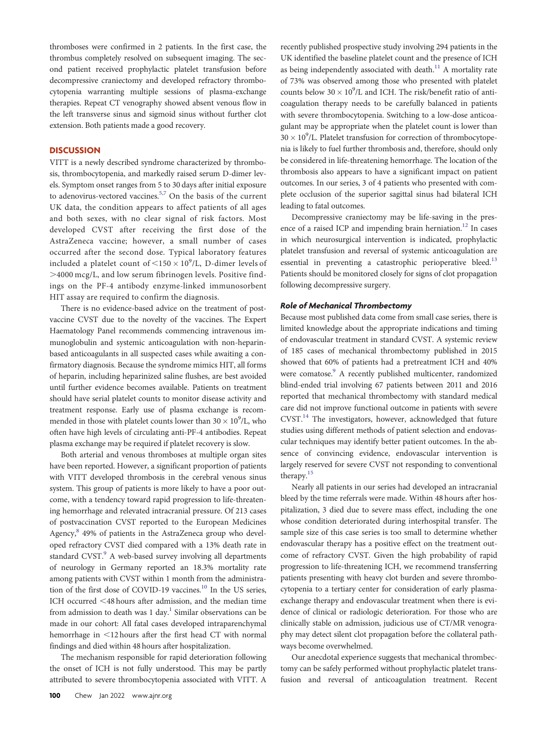thromboses were confirmed in 2 patients. In the first case, the thrombus completely resolved on subsequent imaging. The second patient received prophylactic platelet transfusion before decompressive craniectomy and developed refractory thrombocytopenia warranting multiple sessions of plasma-exchange therapies. Repeat CT venography showed absent venous flow in the left transverse sinus and sigmoid sinus without further clot extension. Both patients made a good recovery.

## **DISCUSSION**

VITT is a newly described syndrome characterized by thrombosis, thrombocytopenia, and markedly raised serum D-dimer levels. Symptom onset ranges from 5 to 30 days after initial exposure to adenovirus-vectored vaccines.<sup>5,[7](#page-3-6)</sup> On the basis of the current UK data, the condition appears to affect patients of all ages and both sexes, with no clear signal of risk factors. Most developed CVST after receiving the first dose of the AstraZeneca vaccine; however, a small number of cases occurred after the second dose. Typical laboratory features included a platelet count of  $\langle 150 \times 10^9 \text{/L}$ , D-dimer levels of .4000 mcg/L, and low serum fibrinogen levels. Positive findings on the PF-4 antibody enzyme-linked immunosorbent HIT assay are required to confirm the diagnosis.

There is no evidence-based advice on the treatment of postvaccine CVST due to the novelty of the vaccines. The Expert Haematology Panel recommends commencing intravenous immunoglobulin and systemic anticoagulation with non-heparinbased anticoagulants in all suspected cases while awaiting a confirmatory diagnosis. Because the syndrome mimics HIT, all forms of heparin, including heparinized saline flushes, are best avoided until further evidence becomes available. Patients on treatment should have serial platelet counts to monitor disease activity and treatment response. Early use of plasma exchange is recommended in those with platelet counts lower than  $30 \times 10^9$ /L, who often have high levels of circulating anti-PF-4 antibodies. Repeat plasma exchange may be required if platelet recovery is slow.

Both arterial and venous thromboses at multiple organ sites have been reported. However, a significant proportion of patients with VITT developed thrombosis in the cerebral venous sinus system. This group of patients is more likely to have a poor outcome, with a tendency toward rapid progression to life-threatening hemorrhage and relevated intracranial pressure. Of 213 cases of postvaccination CVST reported to the European Medicines Agency,<sup>[8](#page-3-7)</sup> 49% of patients in the AstraZeneca group who developed refractory CVST died compared with a 13% death rate in standard CVST.<sup>[9](#page-3-8)</sup> A web-based survey involving all departments of neurology in Germany reported an 18.3% mortality rate among patients with CVST within 1 month from the administration of the first dose of COVID-19 vaccines.<sup>10</sup> In the US series, ICH occurred <48 hours after admission, and the median time from admission to death was  $1 \, \text{day}$  $1 \, \text{day}$ .<sup>1</sup> Similar observations can be made in our cohort: All fatal cases developed intraparenchymal hemorrhage in <12 hours after the first head CT with normal findings and died within 48 hours after hospitalization.

The mechanism responsible for rapid deterioration following the onset of ICH is not fully understood. This may be partly attributed to severe thrombocytopenia associated with VITT. A

recently published prospective study involving 294 patients in the UK identified the baseline platelet count and the presence of ICH as being independently associated with death.<sup>[11](#page-3-10)</sup> A mortality rate of 73% was observed among those who presented with platelet counts below  $30 \times 10^9$ /L and ICH. The risk/benefit ratio of anticoagulation therapy needs to be carefully balanced in patients with severe thrombocytopenia. Switching to a low-dose anticoagulant may be appropriate when the platelet count is lower than  $30\times10^9$  /L. Platelet transfusion for correction of thrombocytopenia is likely to fuel further thrombosis and, therefore, should only be considered in life-threatening hemorrhage. The location of the thrombosis also appears to have a significant impact on patient outcomes. In our series, 3 of 4 patients who presented with complete occlusion of the superior sagittal sinus had bilateral ICH leading to fatal outcomes.

Decompressive craniectomy may be life-saving in the presence of a raised ICP and impending brain herniation.<sup>12</sup> In cases in which neurosurgical intervention is indicated, prophylactic platelet transfusion and reversal of systemic anticoagulation are essential in preventing a catastrophic perioperative bleed.<sup>[13](#page-3-12)</sup> Patients should be monitored closely for signs of clot propagation following decompressive surgery.

#### Role of Mechanical Thrombectomy

Because most published data come from small case series, there is limited knowledge about the appropriate indications and timing of endovascular treatment in standard CVST. A systemic review of 185 cases of mechanical thrombectomy published in 2015 showed that 60% of patients had a pretreatment ICH and 40% were comatose.<sup>9</sup> A recently published multicenter, randomized blind-ended trial involving 67 patients between 2011 and 2016 reported that mechanical thrombectomy with standard medical care did not improve functional outcome in patients with severe CVST.<sup>[14](#page-3-13)</sup> The investigators, however, acknowledged that future studies using different methods of patient selection and endovascular techniques may identify better patient outcomes. In the absence of convincing evidence, endovascular intervention is largely reserved for severe CVST not responding to conventional therapy.<sup>15</sup>

Nearly all patients in our series had developed an intracranial bleed by the time referrals were made. Within 48 hours after hospitalization, 3 died due to severe mass effect, including the one whose condition deteriorated during interhospital transfer. The sample size of this case series is too small to determine whether endovascular therapy has a positive effect on the treatment outcome of refractory CVST. Given the high probability of rapid progression to life-threatening ICH, we recommend transferring patients presenting with heavy clot burden and severe thrombocytopenia to a tertiary center for consideration of early plasmaexchange therapy and endovascular treatment when there is evidence of clinical or radiologic deterioration. For those who are clinically stable on admission, judicious use of CT/MR venography may detect silent clot propagation before the collateral pathways become overwhelmed.

Our anecdotal experience suggests that mechanical thrombectomy can be safely performed without prophylactic platelet transfusion and reversal of anticoagulation treatment. Recent